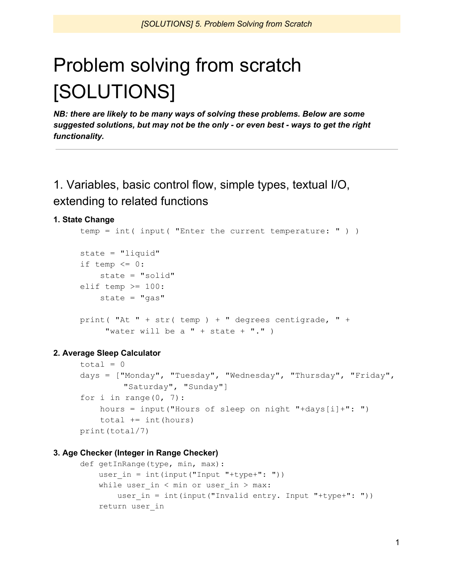# Problem solving from scratch [SOLUTIONS]

*NB: there are likely to be many ways of solving these problems. Below are some suggested solutions, but may not be the only - or even best - ways to get the right functionality.*

1. Variables, basic control flow, simple types, textual I/O, extending to related functions

# **1. State Change**

```
temp = int( input( "Enter the current temperature: " ) )
state = "liquid"
if temp \leq 0:
    state = "solid"
elif temp >= 100:
    state = "gas"print( "At " + str( temp ) + " degrees centigrade, " +
     "water will be a " + state + "." )
```
# **2. Average Sleep Calculator**

```
total = 0days = ["Monday", "Tuesday", "Wednesday", "Thursday", "Friday",
        "Saturday", "Sunday"]
for i in range(0, 7):
    hours = input("Hours of sleep on night "+days[i]+": ")
    total += int(hours)print(total/7)
```
# **3. Age Checker (Integer in Range Checker)**

```
def getInRange(type, min, max):
    user in = int(input("Input "+type+": "))
    while user in \langle min or user in \rangle max:
        user in = int(input("Invalid entry. Input "+type+": "))
     return user_in
```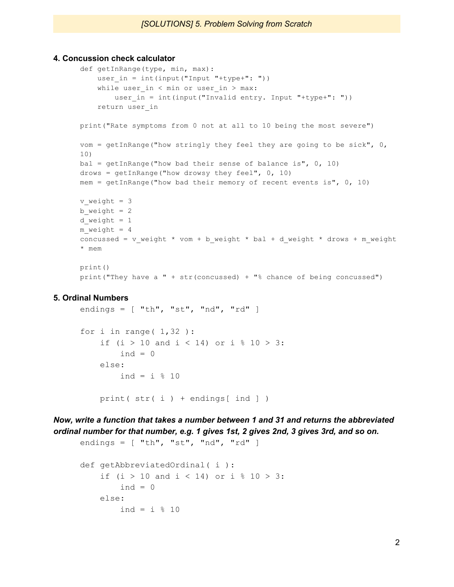#### **4. Concussion check calculator**

```
def getInRange(type, min, max):
    user in = int(input("Input "+type+": "))
    while user in \langle min or user in \rangle max:
        user in = int(input("Invalid entry. Input "+type+": "))
    return user_in
print("Rate symptoms from 0 not at all to 10 being the most severe")
vom = getInRange("how stringly they feel they are going to be sick", 0,
10)
bal = getInRange("how bad their sense of balance is", 0, 10)
drows = getInRange("how drowsy they feel", 0, 10)
mem = getInRange("how bad their memory of recent events is", 0, 10)
v weight = 3b weight = 2d weight = 1m weight = 4concussed = v_weight * vom + b_weight * bal + d_weight * drows + m_weight
* mem
print()
print("They have a " + str(concussed) + "% chance of being concussed")
```
#### **5. Ordinal Numbers**

```
endings = ['th", "st", "nd", "rd"]for i in range(1,32):
   if (i > 10 and i < 14) or i \S 10 > 3:
       ind = 0else:
       ind = i % 10
   print(str(i) + endings[ind])
```
*Now, write a function that takes a number between 1 and 31 and returns the abbreviated ordinal number for that number, e.g. 1 gives 1st, 2 gives 2nd, 3 gives 3rd, and so on.*

```
endings = ['th", "st", "nd", "rd"]def getAbbreviatedOrdinal( i ):
    if (i > 10 and i < 14) or i \S 10 > 3:
       ind = 0else:
        ind = i % 10
```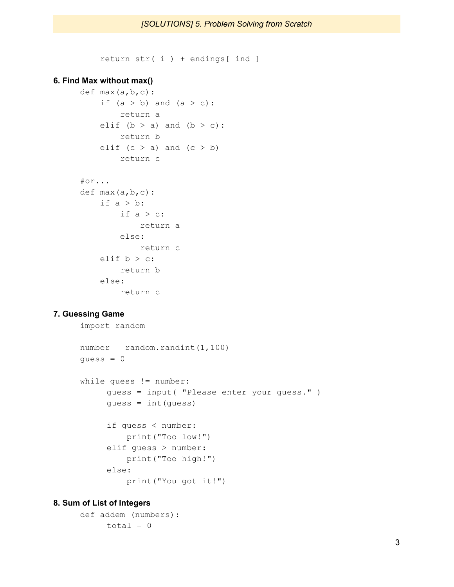return str( i ) + endings[ ind ]

#### **6. Find Max without max()**

```
def max(a,b,c):
    if (a > b) and (a > c):
        return a
    elif (b > a) and (b > c):
        return b
    elif (c > a) and (c > b)return c
#or...
def max(a,b,c):
    if a > b:
        if a > c:
            return a
        else:
            return c
    elif b > c:
        return b
    else:
        return c
```
## **7. Guessing Game**

```
import random
number = random.random(1,100)quess = 0while guess != number:
     guess = input( "Please enter your guess." )
     guess = int(guess)
     if guess < number:
         print("Too low!")
     elif guess > number:
         print("Too high!")
     else:
         print("You got it!")
```
#### **8. Sum of List of Integers**

```
def addem (numbers):
     total = 0
```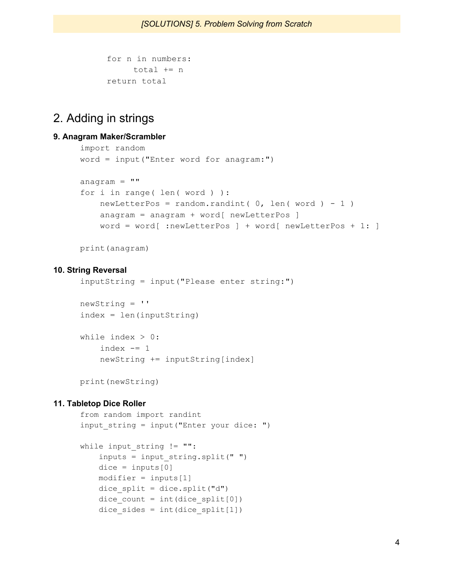```
for n in numbers:
     total += n
return total
```
# 2. Adding in strings

## **9. Anagram Maker/Scrambler**

```
import random
word = input("Enter word for anagram:")
anagram = ""
for i in range( len( word ) ):
    newLetterPos = random.random(), len( word ) - 1 )
    anagram = anagram + word[ newLetterPos ]
    word = word[ :newLetterPos ] + word[ newLetterPos + 1: ]
```

```
print(anagram)
```
# **10. String Reversal**

inputString = input("Please enter string:")

```
newString = ''
index = len(inputString)
```

```
while index > 0:
    index - = 1
    newString += inputString[index]
```
print(newString)

#### **11. Tabletop Dice Roller**

```
from random import randint
input string = input ("Enter your dice: ")
while input string != "":
     inputs = input_string.split(" ")
    dice = inputs[0]modifier = inputs[1]dice split = dice.split("d")dice count = int(dice split[0])
    dice sides = int(dice split[1])
```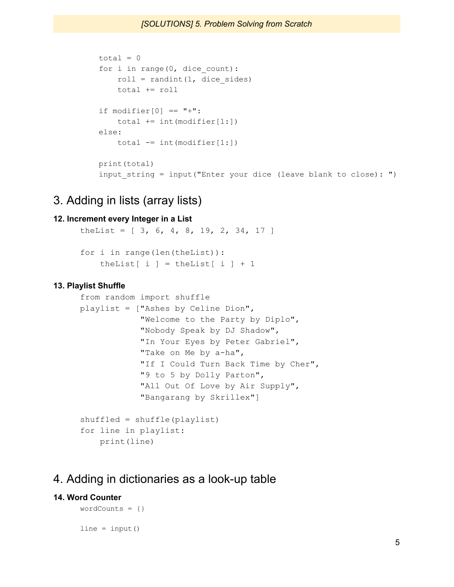```
total = 0for i in range(0, dice count):
    roll = randint(1, dice sides)
     total += roll
if modifier[0] == "+":total += int (modifier[1:])
 else:
    total -= int (modifier[1:])
 print(total)
input string = input ("Enter your dice (leave blank to close): ")
```
# 3. Adding in lists (array lists)

#### **12. Increment every Integer in a List**

```
the List = [3, 6, 4, 8, 19, 2, 34, 17]for i in range(len(theList)):
    theList[ i ] = theList[ i ] + 1
```
#### **13. Playlist Shuffle**

```
from random import shuffle
playlist = ["Ashes by Celine Dion",
            "Welcome to the Party by Diplo",
            "Nobody Speak by DJ Shadow",
            "In Your Eyes by Peter Gabriel",
            "Take on Me by a-ha",
            "If I Could Turn Back Time by Cher",
            "9 to 5 by Dolly Parton",
            "All Out Of Love by Air Supply",
            "Bangarang by Skrillex"]
shuffled = shuffle(playlist)
for line in playlist:
```

```
print(line)
```
# 4. Adding in dictionaries as a look-up table

#### **14. Word Counter**

```
wordCounts = \{\}line = input()
```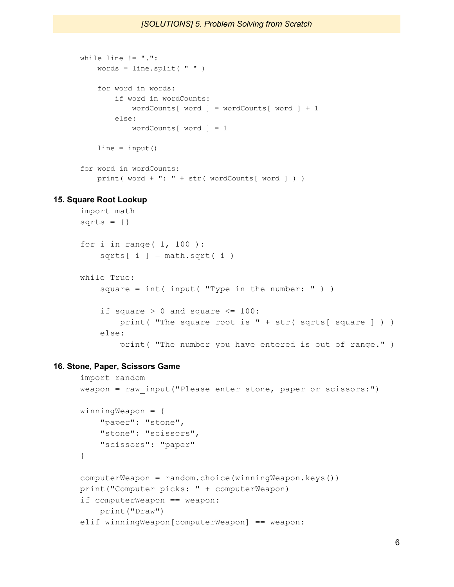```
while line != ".":
   words = line.split(" ")
    for word in words:
        if word in wordCounts:
           wordCounts[ word ] = wordCounts[ word ] + 1
        else:
           wordCounts[ word ] = 1
    line = input()for word in wordCounts:
   print( word + ": " + str( wordCounts[ word ] ) )
```
# **15. Square Root Lookup**

```
import math
sqrts = \{\}for i in range( 1, 100 ):
    sqrts[i] = math.sqrt(i)while True:
    square = int( input( "Type in the number: " ) )
    if square > 0 and square <= 100:
        print( "The square root is " + str( sqrts[ square ] ) )
    else:
        print( "The number you have entered is out of range." )
```
#### **16. Stone, Paper, Scissors Game**

```
import random
weapon = raw input("Please enter stone, paper or scissors:")
winningWeapon = {
    "paper": "stone",
    "stone": "scissors",
    "scissors": "paper"
}
computerWeapon = random.choice(winningWeapon.keys())
print("Computer picks: " + computerWeapon)
if computerWeapon == weapon:
    print("Draw")
elif winningWeapon[computerWeapon] == weapon:
```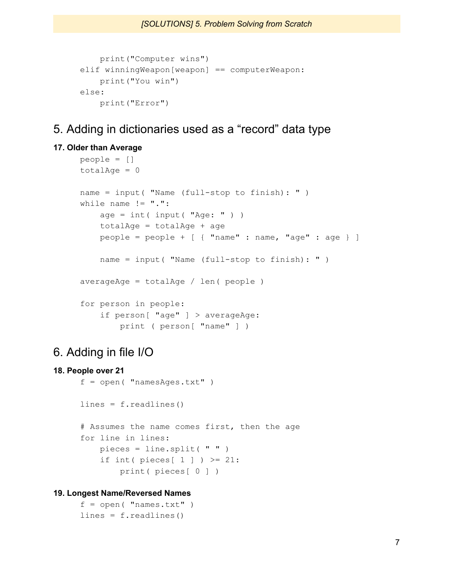```
print("Computer wins")
elif winningWeapon[weapon] == computerWeapon:
    print("You win")
else:
    print("Error")
```
5. Adding in dictionaries used as a "record" data type

# **17. Older than Average**

```
people = []
totalAge = 0name = input( "Name (full-stop to finish): " )
while name != ".":
    age = int( input("Age: " ) )totalAge = totalAge + age
    people = people + [ { "name" : name, "age" : age } ]
    name = input( "Name (full-stop to finish): " )
averageAge = totalAge / len( people )
for person in people:
    if person[ "age" ] > averageAge:
        print ( person[ "name" ] )
```
# 6. Adding in file I/O

```
18. People over 21
     f = open( "namesAges.txt" )
     lines = f.readlines()
     # Assumes the name comes first, then the age
     for line in lines:
          pieces = line.split( " " )
          if int( \text{pieces} [ 1 ] ) >= 21:
              print( pieces[ 0 ] )
```
## **19. Longest Name/Reversed Names**

```
f = open(''names.txt'')lines = f.readlines()
```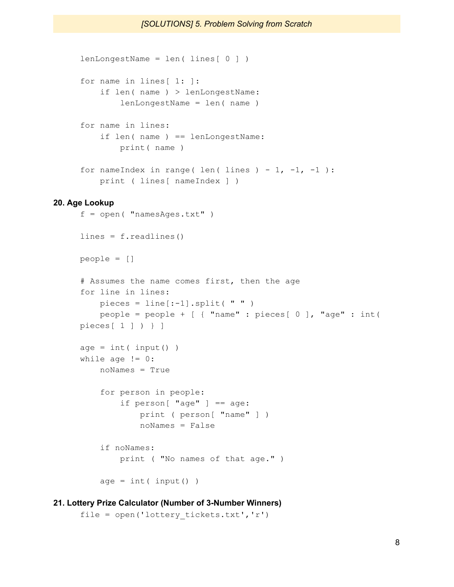```
lenLongestName = len( lines[ 0 ] )
for name in lines[ 1: ]:
    if len( name ) > lenLongestName:
        lenLongestName = len( name )
for name in lines:
    if len( name ) == lenLongestName:
        print( name )
for nameIndex in range( len( lines ) - 1, -1, -1 ):
   print ( lines[ nameIndex ] )
```
#### **20. Age Lookup**

```
f = open( "namesAges.txt" )
lines = f.readlines()
people = []
# Assumes the name comes first, then the age
for line in lines:
   pieces = line[-1].split(' " " )people = people + [ { "name" : pieces[ 0 ], "age" : int (
pieces[ 1 ] ) } ]
age = int(iinput())while age != 0:
    noNames = True
    for person in people:
        if person[ "age" ] == age:
            print ( person[ "name" ] )
            noNames = False
    if noNames:
        print ( "No names of that age." )
    age = int(iinput())
```
# **21. Lottery Prize Calculator (Number of 3-Number Winners)**

```
file = open('lottery_tickets.txt','r')
```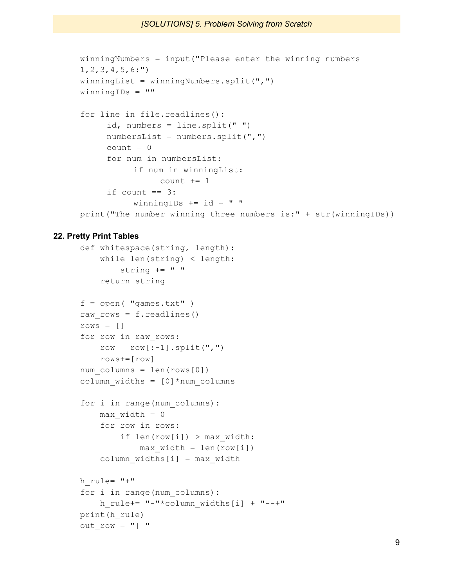```
winningNumbers = input("Please enter the winning numbers
1,2,3,4,5,6:")
winningList = winningNumbers.split(",")
winningIDs = ""
for line in file.readlines():
     id, numbers = line.split(" ")
     numbersList = numbers.split(",")
     count = 0for num in numbersList:
          if num in winningList:
               count += 1if count == 3:
          winningIDs += id + " "
print("The number winning three numbers is:" + str(winningIDs))
```
#### **22. Pretty Print Tables**

```
def whitespace(string, length):
    while len(string) < length:
        string += " "
    return string
f = open('''games.txt'')raw rows = f.readlines()rows = []for row in raw rows:
    row = row[:-1] .split(","")rows+=[row]
num columns = len(rows[0])
column widths = [0]*num columns
for i in range(num columns):
    max width = 0
    for row in rows:
        if len(row[i]) > max width:
            max width = len(row[i])
    column widths[i] = max width
h_rule= "+"
for i in range(num_columns):
    h rule+= "-"*column widths[i] + "--+"
print(h_rule)
out row = " | "
```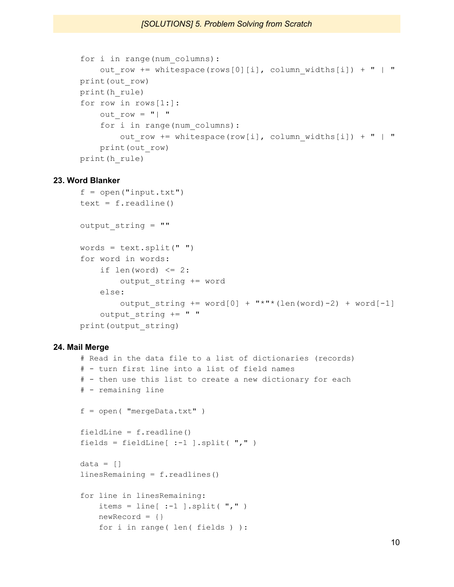```
for i in range(num columns):
    out row += whitespace(rows[0][i], column widths[i]) + " | "
print(out_row)
print(h_rule)
for row in rows[1:]:
    out row = " | "for i in range(num_columns):
        out row += whitespace(row[i], column widths[i]) + " | "
    print(out_row)
print(h_rule)
```
#### **23. Word Blanker**

```
f = open('input.txt")text = f.readline()output string = ""
words = text.split(" ")
for word in words:
    if len(word) \leq 2:
        output_string += word
    else:
        output string += word[0] + "*"*(len(word)-2) + word[-1]
    output string += " "print(output_string)
```
#### **24. Mail Merge**

```
# Read in the data file to a list of dictionaries (records)
# - turn first line into a list of field names
# - then use this list to create a new dictionary for each
# - remaining line
f = open( 'mergeData.txt' )fieldLine = f.readline()fields = fieldLine[:-1 ].split(", ")
data = []linesRemaining = f.readlines()
for line in linesRemaining:
   items = line[:-1 ].split(",")
   newRecord = \{\} for i in range( len( fields ) ):
```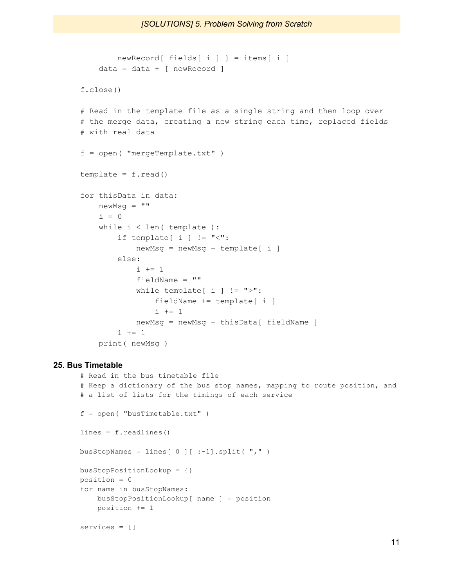```
 newRecord[ fields[ i ] ] = items[ i ]
     data = data + [ newRecord ]
f.close()
# Read in the template file as a single string and then loop over
# the merge data, creating a new string each time, replaced fields
# with real data
f = open('^\text{mergeremplate.txt''})template = f.read()for thisData in data:
    newMsq = "i = 0 while i < len( template ):
        if template[ i ] != "\lt":
             newMsg = newMsg + template[ i ]
         else:
            i + = 1 fieldName = ""
            while template[ i ] != ">":
                 fieldName += template[ i ]
                i + = 1 newMsg = newMsg + thisData[ fieldName ]
        i + = 1 print( newMsg )
```
## **25. Bus Timetable**

```
# Read in the bus timetable file
# Keep a dictionary of the bus stop names, mapping to route position, and
# a list of lists for the timings of each service
f = open( "busTimetable.txt" )
lines = f.readlines()
busStopNames = lines[ 0 ][ :-1].split( "," )
busStopPositionLookup = {}
position = 0
for name in busStopNames:
    busStopPositionLookup[ name ] = position
    position += 1
services = []
```